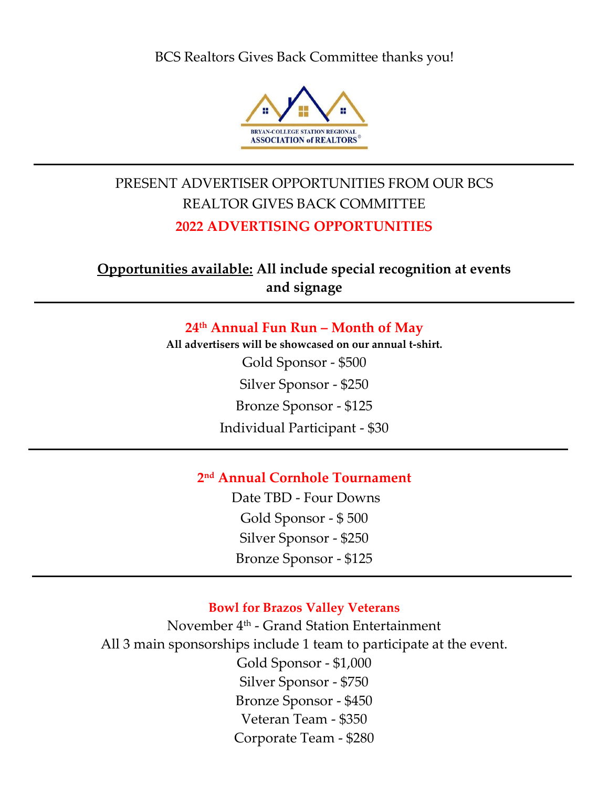BCS Realtors Gives Back Committee thanks you!



# PRESENT ADVERTISER OPPORTUNITIES FROM OUR BCS REALTOR GIVES BACK COMMITTEE **2022 ADVERTISING OPPORTUNITIES**

**Opportunities available: All include special recognition at events and signage**

> **24th Annual Fun Run – Month of May All advertisers will be showcased on our annual t-shirt.**  Gold Sponsor - \$500 Silver Sponsor - \$250 Bronze Sponsor - \$125 Individual Participant - \$30

# **2 nd Annual Cornhole Tournament**

Date TBD - Four Downs Gold Sponsor - \$ 500 Silver Sponsor - \$250 Bronze Sponsor - \$125

### **Bowl for Brazos Valley Veterans**

November 4th - Grand Station Entertainment All 3 main sponsorships include 1 team to participate at the event. Gold Sponsor - \$1,000 Silver Sponsor - \$750 Bronze Sponsor - \$450 Veteran Team - \$350 Corporate Team - \$280